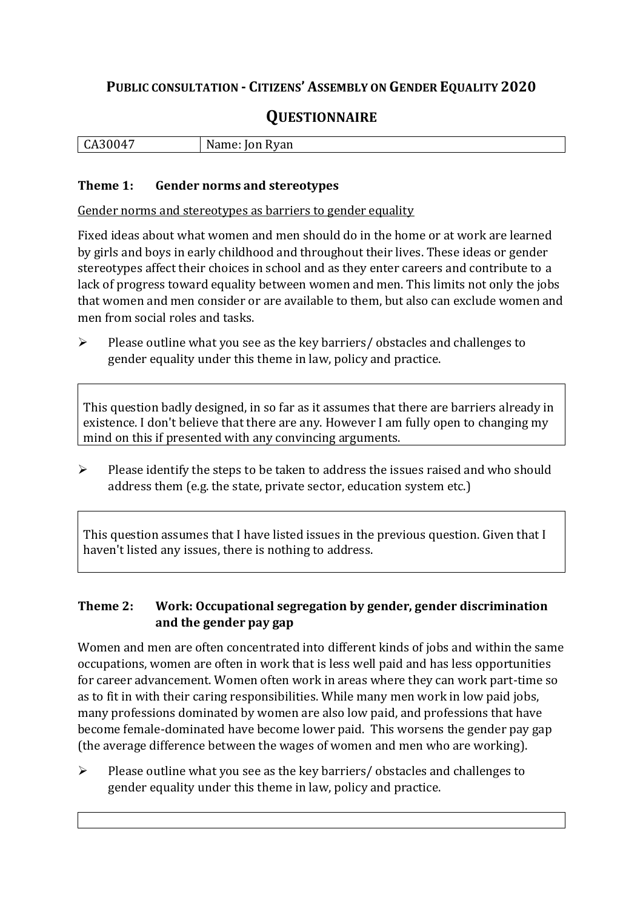## **PUBLIC CONSULTATION - CITIZENS' ASSEMBLY ON GENDER EQUALITY 2020**

# **QUESTIONNAIRE**

| $\mathbf{r}$<br>,,,,,<br>-<br>ື້ | N<br>kyan |
|----------------------------------|-----------|
|                                  |           |

#### **Theme 1: Gender norms and stereotypes**

Gender norms and stereotypes as barriers to gender equality

Fixed ideas about what women and men should do in the home or at work are learned by girls and boys in early childhood and throughout their lives. These ideas or gender stereotypes affect their choices in school and as they enter careers and contribute to a lack of progress toward equality between women and men. This limits not only the jobs that women and men consider or are available to them, but also can exclude women and men from social roles and tasks.

➢ Please outline what you see as the key barriers/ obstacles and challenges to gender equality under this theme in law, policy and practice.

This question badly designed, in so far as it assumes that there are barriers already in existence. I don't believe that there are any. However I am fully open to changing my mind on this if presented with any convincing arguments.

➢ Please identify the steps to be taken to address the issues raised and who should address them (e.g. the state, private sector, education system etc.)

This question assumes that I have listed issues in the previous question. Given that I haven't listed any issues, there is nothing to address.

#### **Theme 2: Work: Occupational segregation by gender, gender discrimination and the gender pay gap**

Women and men are often concentrated into different kinds of jobs and within the same occupations, women are often in work that is less well paid and has less opportunities for career advancement. Women often work in areas where they can work part-time so as to fit in with their caring responsibilities. While many men work in low paid jobs, many professions dominated by women are also low paid, and professions that have become female-dominated have become lower paid. This worsens the gender pay gap (the average difference between the wages of women and men who are working).

➢ Please outline what you see as the key barriers/ obstacles and challenges to gender equality under this theme in law, policy and practice.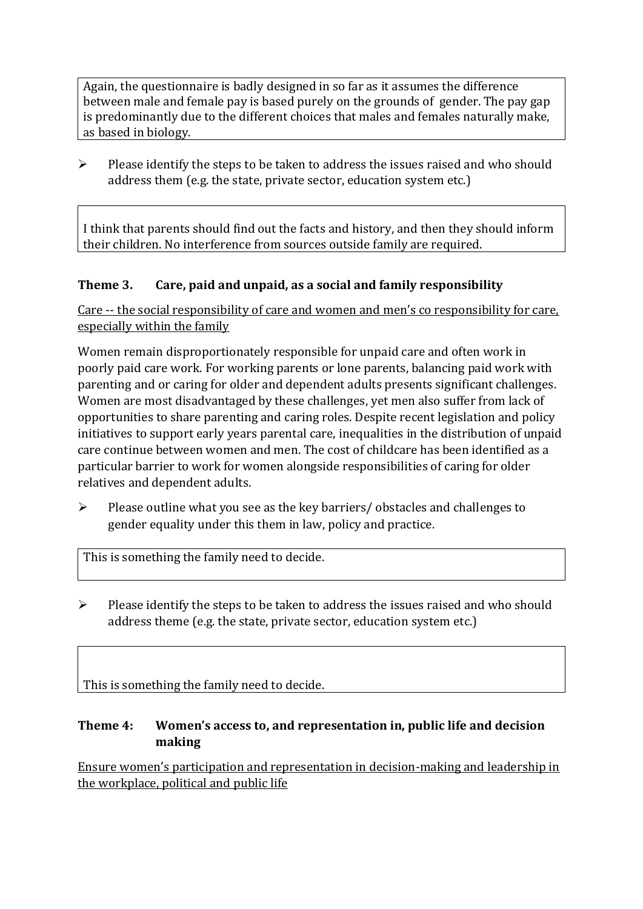Again, the questionnaire is badly designed in so far as it assumes the difference between male and female pay is based purely on the grounds of gender. The pay gap is predominantly due to the different choices that males and females naturally make, as based in biology.

 $\triangleright$  Please identify the steps to be taken to address the issues raised and who should address them (e.g. the state, private sector, education system etc.)

I think that parents should find out the facts and history, and then they should inform their children. No interference from sources outside family are required.

#### **Theme 3. Care, paid and unpaid, as a social and family responsibility**

Care -- the social responsibility of care and women and men's co responsibility for care, especially within the family

Women remain disproportionately responsible for unpaid care and often work in poorly paid care work. For working parents or [lone parents,](https://aran.library.nuigalway.ie/bitstream/handle/10379/6044/Millar_and_Crosse_Activation_Report.pdf?sequence=1&isAllowed=y) balancing paid work with parenting and or caring for older and dependent adults presents significant challenges. Women are [most disadvantaged by these challenges,](https://eige.europa.eu/gender-equality-index/game/IE/W) yet men also suffer from lack of opportunities to share parenting and caring roles. Despite recent legislation and policy initiatives to support early years parental care, [inequalities in the distribution of unpaid](https://www.ihrec.ie/app/uploads/2019/07/Caring-and-Unpaid-Work-in-Ireland_Final.pdf)  [care](https://www.ihrec.ie/app/uploads/2019/07/Caring-and-Unpaid-Work-in-Ireland_Final.pdf) continue between women and men. The cost of childcare has been identified as a particular barrier to work for women alongside responsibilities of caring for older relatives and dependent adults.

➢ Please outline what you see as the key barriers/ obstacles and challenges to gender equality under this them in law, policy and practice.

This is something the family need to decide.

 $\triangleright$  Please identify the steps to be taken to address the issues raised and who should address theme (e.g. the state, private sector, education system etc.)

This is something the family need to decide.

#### **Theme 4: Women's access to, and representation in, public life and decision making**

Ensure women's participation and representation in decision-making and leadership in the workplace, political and public life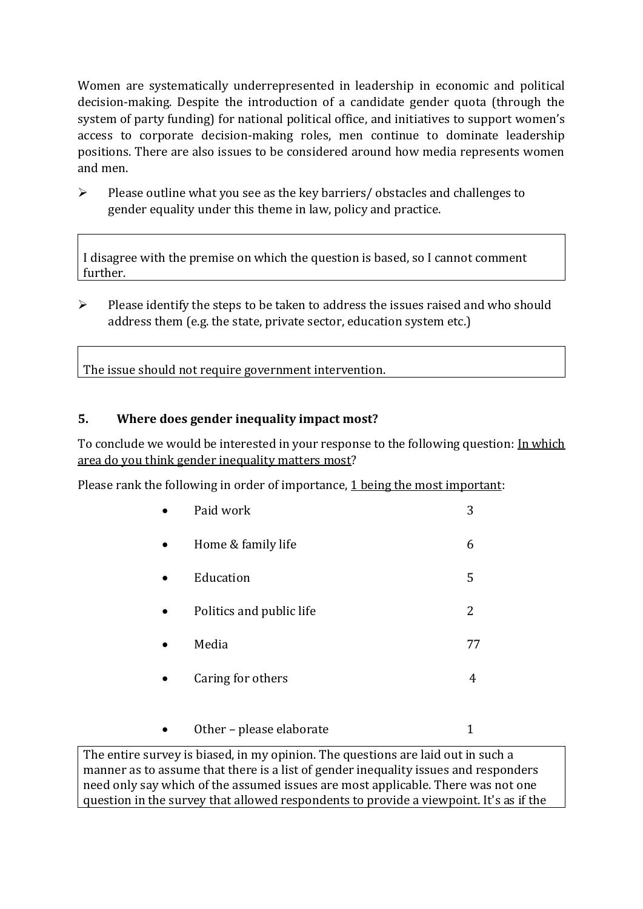Women are systematically underrepresented in leadership in [economic](https://eige.europa.eu/gender-equality-index/2019/compare-countries/power/2/bar) and [political](https://eige.europa.eu/gender-equality-index/2019/compare-countries/power/1/bar)  [decision-](https://eige.europa.eu/gender-equality-index/2019/compare-countries/power/1/bar)making. Despite the introduction of a candidate gender quota (through the system of party funding) for national political office, and [initiatives](https://betterbalance.ie/) to support women's access to corporate decision-making roles, men continue to dominate leadership positions. There are also issues to be considered around how media represents women and men.

➢ Please outline what you see as the key barriers/ obstacles and challenges to gender equality under this theme in law, policy and practice.

I disagree with the premise on which the question is based, so I cannot comment further.

 $\triangleright$  Please identify the steps to be taken to address the issues raised and who should address them (e.g. the state, private sector, education system etc.)

The issue should not require government intervention.

### **5. Where does gender inequality impact most?**

To conclude we would be interested in your response to the following question: In which area do you think gender inequality matters most?

Please rank the following in order of importance, 1 being the most important:

| Paid work                | 3  |
|--------------------------|----|
| Home & family life       | 6  |
| Education                | 5  |
| Politics and public life | 2  |
| Media                    | 77 |
| Caring for others        | 4  |
| Other – please elaborate |    |

The entire survey is biased, in my opinion. The questions are laid out in such a manner as to assume that there is a list of gender inequality issues and responders need only say which of the assumed issues are most applicable. There was not one question in the survey that allowed respondents to provide a viewpoint. It's as if the